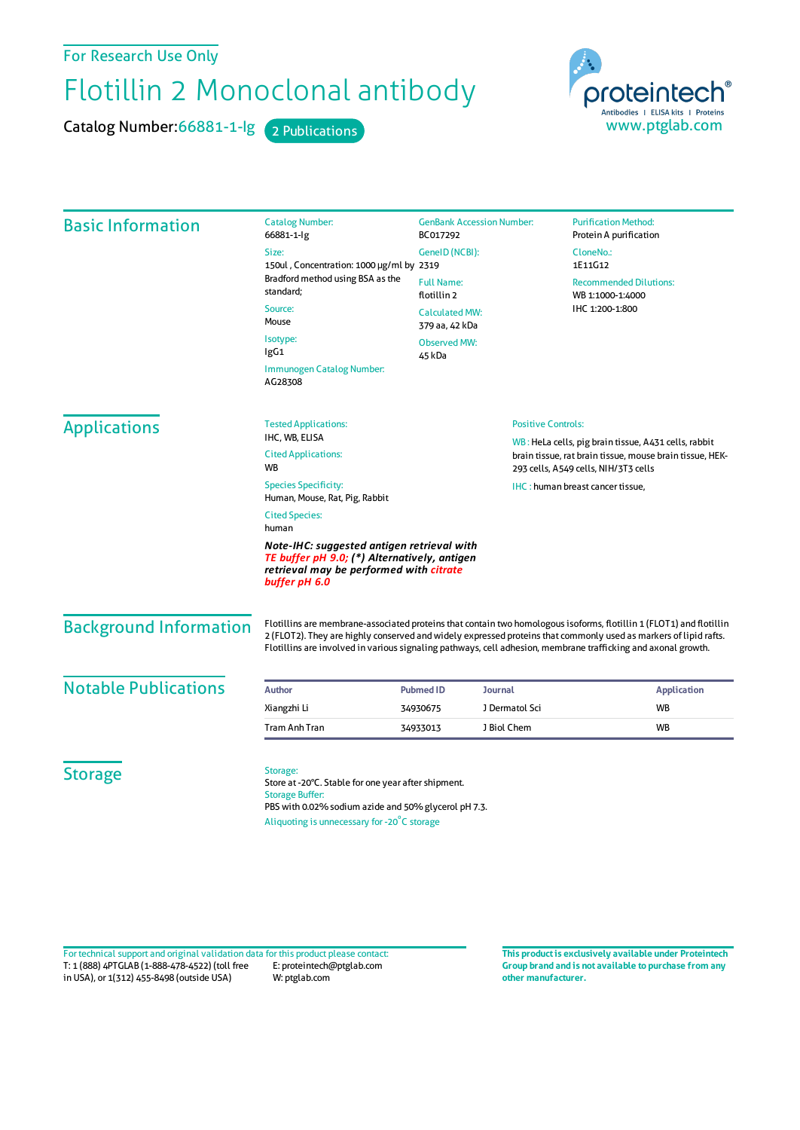## For Research Use Only

## Flotillin 2 Monoclonal antibody

Catalog Number: 66881-1-Ig 2 Publications

proteintech Antibodies | ELISA kits | Proteins www.ptglab.com

Basic Information Catalog Number: 66881-1-Ig Size: 150ul , Concentration: 1000 μg/ml by 2319 Bradford method using BSA as the standard; Source: Mouse Isotype: IgG1 Immunogen Catalog Number: AG28308 GenBank Accession Number: BC017292 GeneID(NCBI): Full Name: flotillin 2 CalculatedMW: 379 aa, 42 kDa Observed MW: 45 kDa **Purification Method:** Protein A purification CloneNo.: 1E11G12 Recommended Dilutions: WB 1:1000-1:4000 IHC 1:200-1:800 Applications Tested Applications: IHC, WB, ELISA Cited Applications: **W<sub>R</sub>** Species Specificity: Human, Mouse, Rat, Pig, Rabbit Cited Species: human *Note-IHC: suggested antigen retrieval with TE buffer pH 9.0; (\*) Alternatively, antigen retrieval may be performed with citrate buffer pH 6.0* Positive Controls: WB : HeLa cells, pig brain tissue, A431 cells, rabbit brain tissue, rat brain tissue, mouse brain tissue, HEK-293 cells, A549 cells, NIH/3T3 cells IHC : human breast cancer tissue, Background Information Flotillins are membrane-associated proteins that contain two homologous isoforms, flotillin 1 (FLOT1) and flotillin 2 (FLOT2). They are highly conserved and widely expressed proteins that commonly used as markers of lipid rafts. Flotillins are involved in various signaling pathways, cell adhesion, membrane trafficking and axonal growth. **Notable Publications Author Author PubmedID Journal Application Application** Xiangzhi Li 34930675 J Dermatol Sci WB Tram Anh Tran 34933013 J Biol Chem WB **Storage** Storage: Store at -20°C. Stable for one year after shipment. Storage Buffer: PBS with 0.02% sodium azide and 50% glycerol pH 7.3.

Aliquoting is unnecessary for -20<sup>°</sup>C storage

T: 1 (888) 4PTGLAB (1-888-478-4522) (toll free in USA), or 1(312) 455-8498 (outside USA) E: proteintech@ptglab.com W: ptglab.com Fortechnical support and original validation data forthis product please contact: **This productis exclusively available under Proteintech**

**Group brand and is not available to purchase from any other manufacturer.**